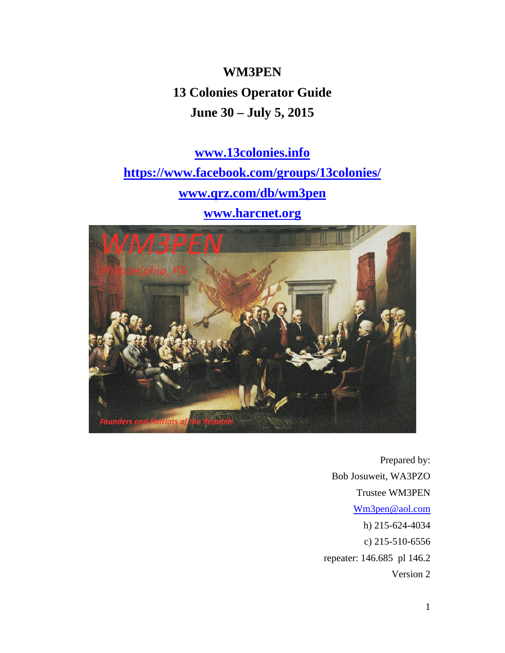**WM3PEN 13 Colonies Operator Guide June 30 – July 5, 2015** 

**www.13colonies.info https://www.facebook.com/groups/13colonies/ www.qrz.com/db/wm3pen www.harcnet.org**



Prepared by: Bob Josuweit, WA3PZO Trustee WM3PEN Wm3pen@aol.com h) 215-624-4034 c) 215-510-6556 repeater: 146.685 pl 146.2 Version 2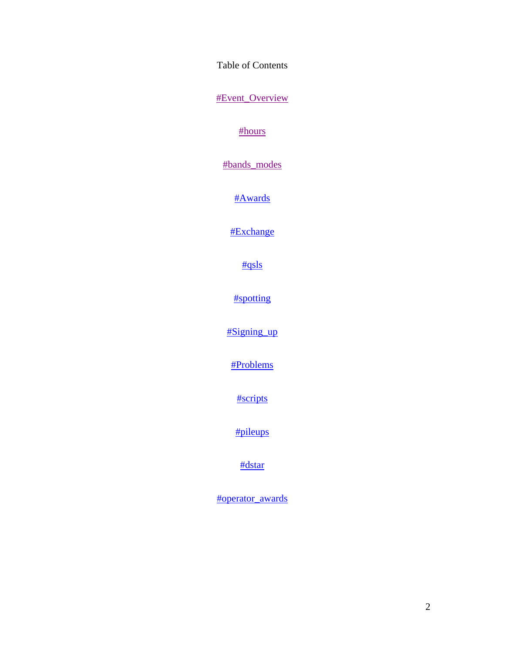Table of Contents

#Event\_Overview

#hours

#bands\_modes

#Awards

#Exchange

#qsls

#spotting

#Signing\_up

#Problems

#scripts

#pileups

#dstar

#operator\_awards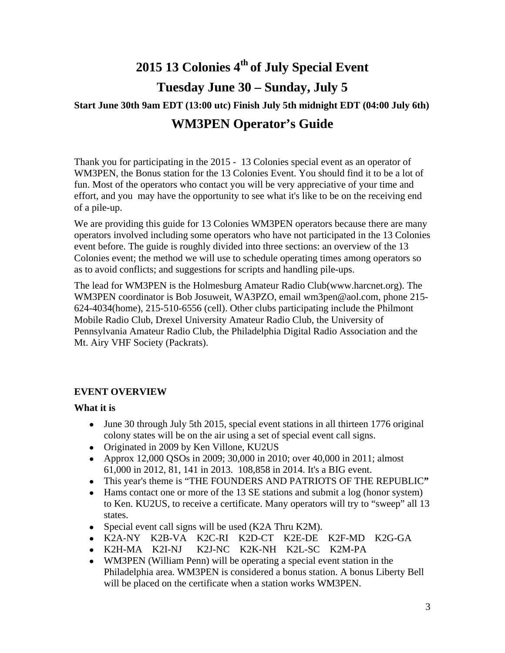# **2015 13 Colonies 4th of July Special Event Tuesday June 30 – Sunday, July 5**

## **Start June 30th 9am EDT (13:00 utc) Finish July 5th midnight EDT (04:00 July 6th) WM3PEN Operator's Guide**

Thank you for participating in the 2015 - 13 Colonies special event as an operator of WM3PEN, the Bonus station for the 13 Colonies Event. You should find it to be a lot of fun. Most of the operators who contact you will be very appreciative of your time and effort, and you may have the opportunity to see what it's like to be on the receiving end of a pile-up.

We are providing this guide for 13 Colonies WM3PEN operators because there are many operators involved including some operators who have not participated in the 13 Colonies event before. The guide is roughly divided into three sections: an overview of the 13 Colonies event; the method we will use to schedule operating times among operators so as to avoid conflicts; and suggestions for scripts and handling pile-ups.

The lead for WM3PEN is the Holmesburg Amateur Radio Club(www.harcnet.org). The WM3PEN coordinator is Bob Josuweit, WA3PZO, email wm3pen@aol.com, phone 215- 624-4034(home), 215-510-6556 (cell). Other clubs participating include the Philmont Mobile Radio Club, Drexel University Amateur Radio Club, the University of Pennsylvania Amateur Radio Club, the Philadelphia Digital Radio Association and the Mt. Airy VHF Society (Packrats).

## **EVENT OVERVIEW**

### **What it is**

- June 30 through July 5th 2015, special event stations in all thirteen 1776 original colony states will be on the air using a set of special event call signs.
- Originated in 2009 by Ken Villone, KU2US
- Approx 12,000 QSOs in 2009; 30,000 in 2010; over 40,000 in 2011; almost 61,000 in 2012, 81, 141 in 2013. 108,858 in 2014. It's a BIG event.
- This year's theme is "THE FOUNDERS AND PATRIOTS OF THE REPUBLIC**"**
- Hams contact one or more of the 13 SE stations and submit a log (honor system) to Ken. KU2US, to receive a certificate. Many operators will try to "sweep" all 13 states.
- Special event call signs will be used  $(K2A)$  Thru  $K2M$ ).
- K2A-NY K2B-VA K2C-RI K2D-CT K2E-DE K2F-MD K2G-GA
- K2H-MA K2I-NJ K2J-NC K2K-NH K2L-SC K2M-PA
- WM3PEN (William Penn) will be operating a special event station in the Philadelphia area. WM3PEN is considered a bonus station. A bonus Liberty Bell will be placed on the certificate when a station works WM3PEN.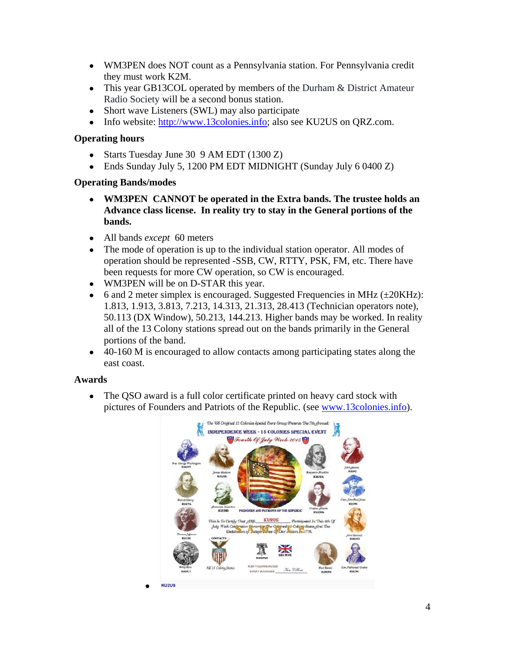- WM3PEN does NOT count as a Pennsylvania station. For Pennsylvania credit they must work K2M.
- This year GB13COL operated by members of the Durham & District Amateur Radio Society will be a second bonus station.
- Short wave Listeners (SWL) may also participate
- Info website: http://www.13colonies.info; also see KU2US on QRZ.com.

### **Operating hours**

- Starts Tuesday June 30 9 AM EDT (1300 Z)
- Ends Sunday July 5, 1200 PM EDT MIDNIGHT (Sunday July 6 0400 Z)

#### **Operating Bands/modes**

- **WM3PEN CANNOT be operated in the Extra bands. The trustee holds an Advance class license. In reality try to stay in the General portions of the bands.**
- All bands *except* 60 meters

●

- The mode of operation is up to the individual station operator. All modes of operation should be represented -SSB, CW, RTTY, PSK, FM, etc. There have been requests for more CW operation, so CW is encouraged.
- WM3PEN will be on D-STAR this year.
- 6 and 2 meter simplex is encouraged. Suggested Frequencies in MHz  $(\pm 20KHz)$ : 1.813, 1.913, 3.813, 7.213, 14.313, 21.313, 28.413 (Technician operators note), 50.113 (DX Window), 50.213, 144.213. Higher bands may be worked. In reality all of the 13 Colony stations spread out on the bands primarily in the General portions of the band.
- 40-160 M is encouraged to allow contacts among participating states along the east coast.

#### **Awards**

• The QSO award is a full color certificate printed on heavy card stock with pictures of Founders and Patriots of the Republic. (see www.13colonies.info).

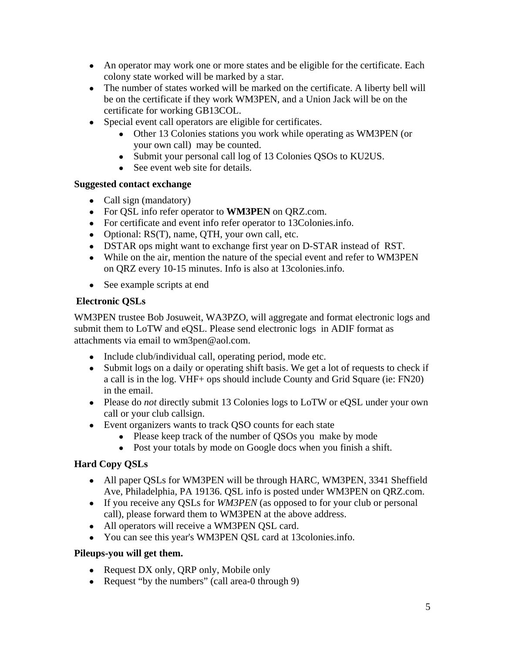- An operator may work one or more states and be eligible for the certificate. Each colony state worked will be marked by a star.
- The number of states worked will be marked on the certificate. A liberty bell will be on the certificate if they work WM3PEN, and a Union Jack will be on the certificate for working GB13COL.
- Special event call operators are eligible for certificates.
	- Other 13 Colonies stations you work while operating as WM3PEN (or your own call) may be counted.
	- Submit your personal call log of 13 Colonies QSOs to KU2US.
	- See event web site for details.

#### **Suggested contact exchange**

- Call sign (mandatory)
- For QSL info refer operator to **WM3PEN** on QRZ.com.
- For certificate and event info refer operator to 13Colonies.info.
- Optional: RS(T), name, QTH, your own call, etc.
- DSTAR ops might want to exchange first year on D-STAR instead of RST.
- While on the air, mention the nature of the special event and refer to WM3PEN on QRZ every 10-15 minutes. Info is also at 13colonies.info.
- See example scripts at end

### **Electronic QSLs**

WM3PEN trustee Bob Josuweit, WA3PZO, will aggregate and format electronic logs and submit them to LoTW and eQSL. Please send electronic logs in ADIF format as attachments via email to wm3pen@aol.com.

- Include club/individual call, operating period, mode etc.
- Submit logs on a daily or operating shift basis. We get a lot of requests to check if a call is in the log. VHF+ ops should include County and Grid Square (ie: FN20) in the email.
- Please do *not* directly submit 13 Colonies logs to LoTW or eQSL under your own call or your club callsign.
- Event organizers wants to track QSO counts for each state
	- Please keep track of the number of QSOs you make by mode
	- Post your totals by mode on Google docs when you finish a shift.

## **Hard Copy QSLs**

- All paper QSLs for WM3PEN will be through HARC, WM3PEN, 3341 Sheffield Ave, Philadelphia, PA 19136. QSL info is posted under WM3PEN on QRZ.com.
- If you receive any QSLs for *WM3PEN* (as opposed to for your club or personal call), please forward them to WM3PEN at the above address.
- All operators will receive a WM3PEN QSL card.
- You can see this year's WM3PEN QSL card at 13colonies.info.

### **Pileups-you will get them.**

- Request DX only, QRP only, Mobile only
- Request "by the numbers" (call area-0 through 9)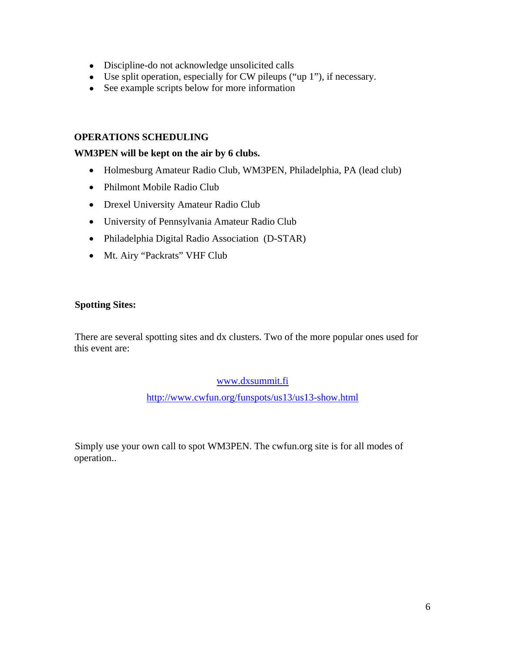- Discipline-do not acknowledge unsolicited calls
- Use split operation, especially for CW pileups ("up 1"), if necessary.
- See example scripts below for more information

#### **OPERATIONS SCHEDULING**

#### **WM3PEN will be kept on the air by 6 clubs.**

- Holmesburg Amateur Radio Club, WM3PEN, Philadelphia, PA (lead club)
- Philmont Mobile Radio Club
- Drexel University Amateur Radio Club
- University of Pennsylvania Amateur Radio Club
- Philadelphia Digital Radio Association (D-STAR)
- Mt. Airy "Packrats" VHF Club

#### **Spotting Sites:**

There are several spotting sites and dx clusters. Two of the more popular ones used for this event are:

#### www.dxsummit.fi

http://www.cwfun.org/funspots/us13/us13-show.html

Simply use your own call to spot WM3PEN. The cwfun.org site is for all modes of operation..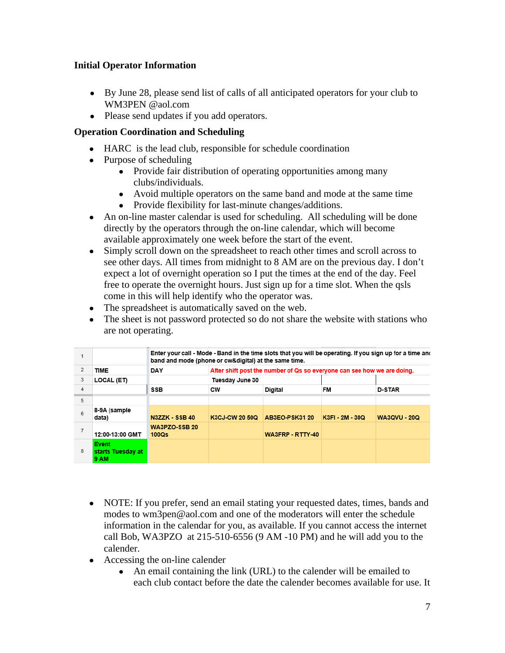## **Initial Operator Information**

- By June 28, please send list of calls of all anticipated operators for your club to WM3PEN @aol.com
- Please send updates if you add operators.

## **Operation Coordination and Scheduling**

- HARC is the lead club, responsible for schedule coordination
- Purpose of scheduling
	- Provide fair distribution of operating opportunities among many clubs/individuals.
	- Avoid multiple operators on the same band and mode at the same time
	- Provide flexibility for last-minute changes/additions.
- An on-line master calendar is used for scheduling. All scheduling will be done directly by the operators through the on-line calendar, which will become available approximately one week before the start of the event.
- Simply scroll down on the spreadsheet to reach other times and scroll across to see other days. All times from midnight to 8 AM are on the previous day. I don't expect a lot of overnight operation so I put the times at the end of the day. Feel free to operate the overnight hours. Just sign up for a time slot. When the qsls come in this will help identify who the operator was.
- The spreadsheet is automatically saved on the web.
- The sheet is not password protected so do not share the website with stations who are not operating.

|   |                                           | Enter your call - Mode - Band in the time slots that you will be operating. If you sign up for a time and<br>band and mode (phone or cw&digital) at the same time. |                                                                         |                  |                 |                     |  |  |  |  |
|---|-------------------------------------------|--------------------------------------------------------------------------------------------------------------------------------------------------------------------|-------------------------------------------------------------------------|------------------|-----------------|---------------------|--|--|--|--|
| 2 | <b>TIME</b>                               | DAY                                                                                                                                                                | After shift post the number of Qs so everyone can see how we are doing. |                  |                 |                     |  |  |  |  |
| 3 | LOCAL (ET)                                |                                                                                                                                                                    | Tuesday June 30                                                         |                  |                 |                     |  |  |  |  |
| 4 |                                           | <b>SSB</b>                                                                                                                                                         | CW                                                                      | <b>Digital</b>   | FM              | <b>D-STAR</b>       |  |  |  |  |
| 5 |                                           |                                                                                                                                                                    |                                                                         |                  |                 |                     |  |  |  |  |
| 6 | 8-9A (sample<br>data)                     | N3ZZK - SSB 40                                                                                                                                                     | K3CJ-CW 20 50Q                                                          | AB3EO-PSK31 20   | K3FI - 2M - 30Q | <b>WA3QVU - 20Q</b> |  |  |  |  |
| 7 | 12:00-13:00 GMT                           | WA3PZO-SSB 20<br>100Q <sub>S</sub>                                                                                                                                 |                                                                         | WA3FRP - RTTY-40 |                 |                     |  |  |  |  |
| 8 | <b>Event</b><br>starts Tuesday at<br>9 AM |                                                                                                                                                                    |                                                                         |                  |                 |                     |  |  |  |  |

- NOTE: If you prefer, send an email stating your requested dates, times, bands and modes to wm3pen@aol.com and one of the moderators will enter the schedule information in the calendar for you, as available. If you cannot access the internet call Bob, WA3PZO at 215-510-6556 (9 AM -10 PM) and he will add you to the calender.
- Accessing the on-line calender
	- An email containing the link (URL) to the calender will be emailed to each club contact before the date the calender becomes available for use. It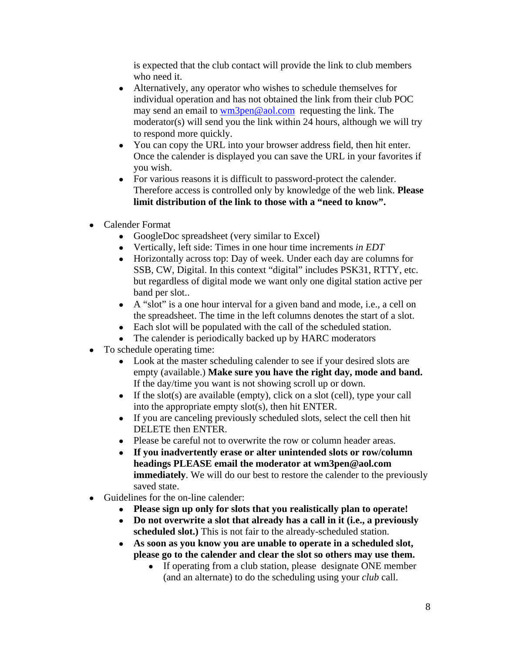is expected that the club contact will provide the link to club members who need it.

- Alternatively, any operator who wishes to schedule themselves for individual operation and has not obtained the link from their club POC may send an email to wm3pen@aol.com requesting the link. The moderator(s) will send you the link within 24 hours, although we will try to respond more quickly.
- You can copy the URL into your browser address field, then hit enter. Once the calender is displayed you can save the URL in your favorites if you wish.
- For various reasons it is difficult to password-protect the calender. Therefore access is controlled only by knowledge of the web link. **Please limit distribution of the link to those with a "need to know".**
- Calender Format
	- GoogleDoc spreadsheet (very similar to Excel)
	- Vertically, left side: Times in one hour time increments *in EDT*
	- Horizontally across top: Day of week. Under each day are columns for SSB, CW, Digital. In this context "digital" includes PSK31, RTTY, etc. but regardless of digital mode we want only one digital station active per band per slot..
	- A "slot" is a one hour interval for a given band and mode, i.e., a cell on the spreadsheet. The time in the left columns denotes the start of a slot.
	- Each slot will be populated with the call of the scheduled station.
	- The calender is periodically backed up by HARC moderators
- To schedule operating time:
	- Look at the master scheduling calender to see if your desired slots are empty (available.) **Make sure you have the right day, mode and band.**  If the day/time you want is not showing scroll up or down.
	- If the slot(s) are available (empty), click on a slot (cell), type your call into the appropriate empty slot(s), then hit ENTER.
	- If you are canceling previously scheduled slots, select the cell then hit DELETE then ENTER.
	- Please be careful not to overwrite the row or column header areas.
	- **If you inadvertently erase or alter unintended slots or row/column headings PLEASE email the moderator at wm3pen@aol.com immediately**. We will do our best to restore the calender to the previously saved state.
- Guidelines for the on-line calender:
	- **Please sign up only for slots that you realistically plan to operate!**
	- **Do not overwrite a slot that already has a call in it (i.e., a previously scheduled slot.)** This is not fair to the already-scheduled station.
	- **As soon as you know you are unable to operate in a scheduled slot, please go to the calender and clear the slot so others may use them.** 
		- If operating from a club station, please designate ONE member (and an alternate) to do the scheduling using your *club* call.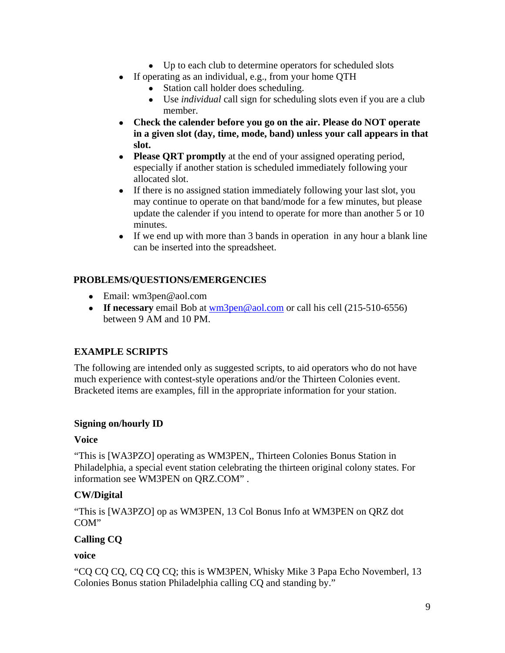- Up to each club to determine operators for scheduled slots
- If operating as an individual, e.g., from your home QTH
	- Station call holder does scheduling.
	- Use *individual* call sign for scheduling slots even if you are a club member.
- **Check the calender before you go on the air. Please do NOT operate in a given slot (day, time, mode, band) unless your call appears in that slot.**
- **Please ORT promptly** at the end of your assigned operating period, especially if another station is scheduled immediately following your allocated slot.
- If there is no assigned station immediately following your last slot, you may continue to operate on that band/mode for a few minutes, but please update the calender if you intend to operate for more than another 5 or 10 minutes.
- If we end up with more than 3 bands in operation in any hour a blank line can be inserted into the spreadsheet.

## **PROBLEMS/QUESTIONS/EMERGENCIES**

- Email: wm3pen@aol.com
- **If necessary** email Bob at <u>wm3pen@aol.com</u> or call his cell (215-510-6556) between 9 AM and 10 PM.

## **EXAMPLE SCRIPTS**

The following are intended only as suggested scripts, to aid operators who do not have much experience with contest-style operations and/or the Thirteen Colonies event. Bracketed items are examples, fill in the appropriate information for your station.

### **Signing on/hourly ID**

### **Voice**

"This is [WA3PZO] operating as WM3PEN,, Thirteen Colonies Bonus Station in Philadelphia, a special event station celebrating the thirteen original colony states. For information see WM3PEN on QRZ.COM" .

## **CW/Digital**

"This is [WA3PZO] op as WM3PEN, 13 Col Bonus Info at WM3PEN on QRZ dot COM"

## **Calling CQ**

### **voice**

"CQ CQ CQ, CQ CQ CQ; this is WM3PEN, Whisky Mike 3 Papa Echo Novemberl, 13 Colonies Bonus station Philadelphia calling CQ and standing by."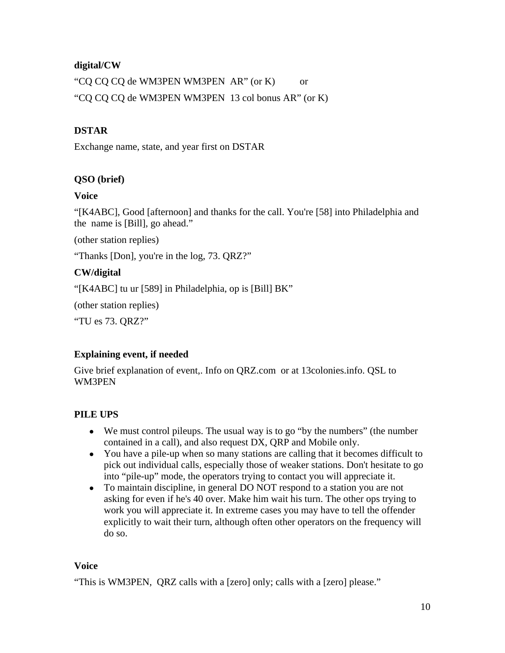## **digital/CW**

"CQ CQ CQ de WM3PEN WM3PEN AR" (or K) or "CQ CQ CQ de WM3PEN WM3PEN 13 col bonus AR" (or K)

## **DSTAR**

Exchange name, state, and year first on DSTAR

## **QSO (brief)**

#### **Voice**

"[K4ABC], Good [afternoon] and thanks for the call. You're [58] into Philadelphia and the name is [Bill], go ahead."

(other station replies)

"Thanks [Don], you're in the log, 73. QRZ?"

### **CW/digital**

"[K4ABC] tu ur [589] in Philadelphia, op is [Bill] BK"

(other station replies)

"TU es 73. QRZ?"

### **Explaining event, if needed**

Give brief explanation of event,. Info on QRZ.com or at 13colonies.info. QSL to WM3PEN

### **PILE UPS**

- We must control pileups. The usual way is to go "by the numbers" (the number contained in a call), and also request DX, QRP and Mobile only.
- You have a pile-up when so many stations are calling that it becomes difficult to pick out individual calls, especially those of weaker stations. Don't hesitate to go into "pile-up" mode, the operators trying to contact you will appreciate it.
- To maintain discipline, in general DO NOT respond to a station you are not asking for even if he's 40 over. Make him wait his turn. The other ops trying to work you will appreciate it. In extreme cases you may have to tell the offender explicitly to wait their turn, although often other operators on the frequency will do so.

### **Voice**

"This is WM3PEN, QRZ calls with a [zero] only; calls with a [zero] please."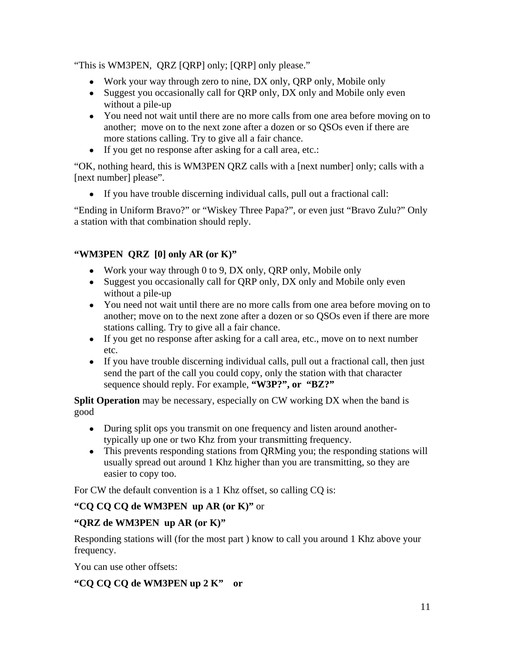"This is WM3PEN, QRZ [QRP] only; [QRP] only please."

- Work your way through zero to nine, DX only, QRP only, Mobile only
- Suggest you occasionally call for QRP only, DX only and Mobile only even without a pile-up
- You need not wait until there are no more calls from one area before moving on to another; move on to the next zone after a dozen or so QSOs even if there are more stations calling. Try to give all a fair chance.
- If you get no response after asking for a call area, etc.:

"OK, nothing heard, this is WM3PEN QRZ calls with a [next number] only; calls with a [next number] please".

● If you have trouble discerning individual calls, pull out a fractional call:

"Ending in Uniform Bravo?" or "Wiskey Three Papa?", or even just "Bravo Zulu?" Only a station with that combination should reply.

## **"WM3PEN QRZ [0] only AR (or K)"**

- Work your way through 0 to 9, DX only, QRP only, Mobile only
- Suggest you occasionally call for QRP only, DX only and Mobile only even without a pile-up
- You need not wait until there are no more calls from one area before moving on to another; move on to the next zone after a dozen or so QSOs even if there are more stations calling. Try to give all a fair chance.
- If you get no response after asking for a call area, etc., move on to next number etc.
- If you have trouble discerning individual calls, pull out a fractional call, then just send the part of the call you could copy, only the station with that character sequence should reply. For example, **"W3P?", or "BZ?"**

**Split Operation** may be necessary, especially on CW working DX when the band is good

- During split ops you transmit on one frequency and listen around anothertypically up one or two Khz from your transmitting frequency.
- This prevents responding stations from QRMing you; the responding stations will usually spread out around 1 Khz higher than you are transmitting, so they are easier to copy too.

For CW the default convention is a 1 Khz offset, so calling CQ is:

## **"CQ CQ CQ de WM3PEN up AR (or K)"** or

## **"QRZ de WM3PEN up AR (or K)"**

Responding stations will (for the most part ) know to call you around 1 Khz above your frequency.

You can use other offsets:

## **"CQ CQ CQ de WM3PEN up 2 K" or**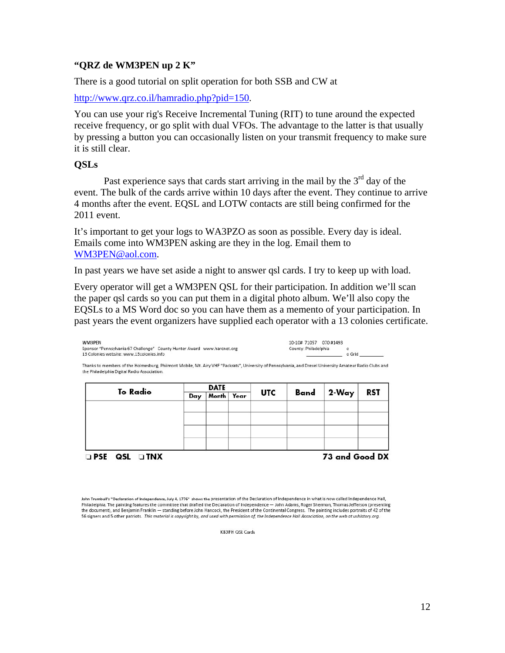#### **"QRZ de WM3PEN up 2 K"**

There is a good tutorial on split operation for both SSB and CW at

http://www.qrz.co.il/hamradio.php?pid=150.

You can use your rig's Receive Incremental Tuning (RIT) to tune around the expected receive frequency, or go split with dual VFOs. The advantage to the latter is that usually by pressing a button you can occasionally listen on your transmit frequency to make sure it is still clear.

#### **QSLs**

Past experience says that cards start arriving in the mail by the  $3<sup>rd</sup>$  day of the event. The bulk of the cards arrive within 10 days after the event. They continue to arrive 4 months after the event. EQSL and LOTW contacts are still being confirmed for the 2011 event.

It's important to get your logs to WA3PZO as soon as possible. Every day is ideal. Emails come into WM3PEN asking are they in the log. Email them to WM3PEN@aol.com.

In past years we have set aside a night to answer qsl cards. I try to keep up with load.

Every operator will get a WM3PEN QSL for their participation. In addition we'll scan the paper qsl cards so you can put them in a digital photo album. We'll also copy the EQSLs to a MS Word doc so you can have them as a memento of your participation. In past years the event organizers have supplied each operator with a 13 colonies certificate.

| WM3PEN                                                                   | 10-10# 71057 070 #1493 |        |
|--------------------------------------------------------------------------|------------------------|--------|
| Sponsor "Pennsylvania 67 Challenge" (County Hunter Award www.harcnet.org | County: Philadelphia   |        |
| 13 Colonies website: www.13colonies info                                 |                        | o Grid |

Thanks to members of the Holmesburg, Philmont Mobile, Mt. Airy VHF "Packrats", University of Pennsylvania, and Drexel University Amateur Radio Clubs and the Philadelphia Digital Radio Association.

| To Radio             | DATE |            |  |            |      |                |     |
|----------------------|------|------------|--|------------|------|----------------|-----|
|                      | Day  | Month Year |  | <b>UTC</b> | Band | $2-Way$        | RST |
|                      |      |            |  |            |      |                |     |
|                      |      |            |  |            |      |                |     |
|                      |      |            |  |            |      |                |     |
|                      |      |            |  |            |      |                |     |
|                      |      |            |  |            |      |                |     |
| <b>OPSE QSL OTNX</b> |      |            |  |            |      | 73 and Good DX |     |

KB3IFH QSL Cards

John Trumbull's "Declaration of Independence, July 4, 1776" shows the presentation of the Declaration of Independence in what is now called Independence Hall, Philadelphia. The painting features the committee that drafted the Declaration of Independence - John Adams, Roger Sherman, Thomas Jefferson (presenting<br>the document), and Benjamin Franklin - standing before John Hancock, 56 signers and 5 other patriots. This material is copyright by, and used with permission of, the Independence Hall Association, on the web at ushistory.org.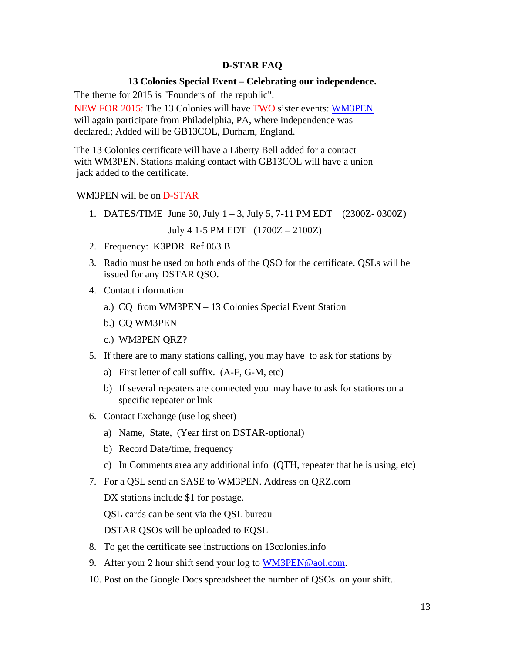#### **D-STAR FAQ**

#### **13 Colonies Special Event – Celebrating our independence.**

The theme for 2015 is "Founders of the republic".

NEW FOR 2015: The 13 Colonies will have TWO sister events: WM3PEN will again participate from Philadelphia, PA, where independence was declared.; Added will be GB13COL, Durham, England.

The 13 Colonies certificate will have a Liberty Bell added for a contact with WM3PEN. Stations making contact with GB13COL will have a union jack added to the certificate.

#### WM3PEN will be on D-STAR

1. DATES/TIME June 30, July  $1 - 3$ , July 5, 7-11 PM EDT (2300Z- 0300Z)

July 4 1-5 PM EDT (1700Z – 2100Z)

- 2. Frequency: K3PDR Ref 063 B
- 3. Radio must be used on both ends of the QSO for the certificate. QSLs will be issued for any DSTAR QSO.
- 4. Contact information
	- a.) CQ from WM3PEN 13 Colonies Special Event Station
	- b.) CQ WM3PEN
	- c.) WM3PEN QRZ?
- 5. If there are to many stations calling, you may have to ask for stations by
	- a) First letter of call suffix. (A-F, G-M, etc)
	- b) If several repeaters are connected you may have to ask for stations on a specific repeater or link
- 6. Contact Exchange (use log sheet)
	- a) Name, State, (Year first on DSTAR-optional)
	- b) Record Date/time, frequency
	- c) In Comments area any additional info (QTH, repeater that he is using, etc)
- 7. For a QSL send an SASE to WM3PEN. Address on QRZ.com

DX stations include \$1 for postage.

QSL cards can be sent via the QSL bureau

DSTAR QSOs will be uploaded to EQSL

- 8. To get the certificate see instructions on 13colonies.info
- 9. After your 2 hour shift send your log to WM3PEN@aol.com.
- 10. Post on the Google Docs spreadsheet the number of QSOs on your shift..